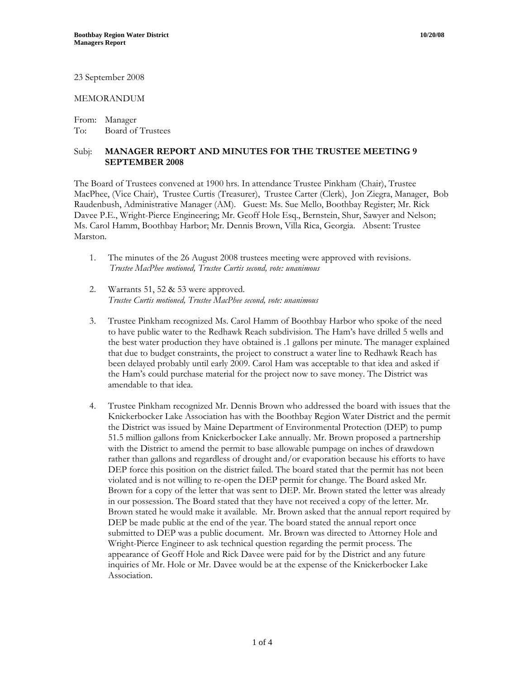23 September 2008

## MEMORANDUM

From: Manager To: Board of Trustees

## Subj: **MANAGER REPORT AND MINUTES FOR THE TRUSTEE MEETING 9 SEPTEMBER 2008**

The Board of Trustees convened at 1900 hrs. In attendance Trustee Pinkham (Chair), Trustee MacPhee, (Vice Chair), Trustee Curtis (Treasurer), Trustee Carter (Clerk), Jon Ziegra, Manager, Bob Raudenbush, Administrative Manager (AM). Guest: Ms. Sue Mello, Boothbay Register; Mr. Rick Davee P.E., Wright-Pierce Engineering; Mr. Geoff Hole Esq., Bernstein, Shur, Sawyer and Nelson; Ms. Carol Hamm, Boothbay Harbor; Mr. Dennis Brown, Villa Rica, Georgia. Absent: Trustee Marston.

- 1. The minutes of the 26 August 2008 trustees meeting were approved with revisions. *Trustee MacPhee motioned, Trustee Curtis second, vote: unanimous*
- 2. Warrants 51, 52 & 53 were approved. *Trustee Curtis motioned, Trustee MacPhee second, vote: unanimous*
- 3. Trustee Pinkham recognized Ms. Carol Hamm of Boothbay Harbor who spoke of the need to have public water to the Redhawk Reach subdivision. The Ham's have drilled 5 wells and the best water production they have obtained is .1 gallons per minute. The manager explained that due to budget constraints, the project to construct a water line to Redhawk Reach has been delayed probably until early 2009. Carol Ham was acceptable to that idea and asked if the Ham's could purchase material for the project now to save money. The District was amendable to that idea.
- 4. Trustee Pinkham recognized Mr. Dennis Brown who addressed the board with issues that the Knickerbocker Lake Association has with the Boothbay Region Water District and the permit the District was issued by Maine Department of Environmental Protection (DEP) to pump 51.5 million gallons from Knickerbocker Lake annually. Mr. Brown proposed a partnership with the District to amend the permit to base allowable pumpage on inches of drawdown rather than gallons and regardless of drought and/or evaporation because his efforts to have DEP force this position on the district failed. The board stated that the permit has not been violated and is not willing to re-open the DEP permit for change. The Board asked Mr. Brown for a copy of the letter that was sent to DEP. Mr. Brown stated the letter was already in our possession. The Board stated that they have not received a copy of the letter. Mr. Brown stated he would make it available. Mr. Brown asked that the annual report required by DEP be made public at the end of the year. The board stated the annual report once submitted to DEP was a public document. Mr. Brown was directed to Attorney Hole and Wright-Pierce Engineer to ask technical question regarding the permit process. The appearance of Geoff Hole and Rick Davee were paid for by the District and any future inquiries of Mr. Hole or Mr. Davee would be at the expense of the Knickerbocker Lake Association.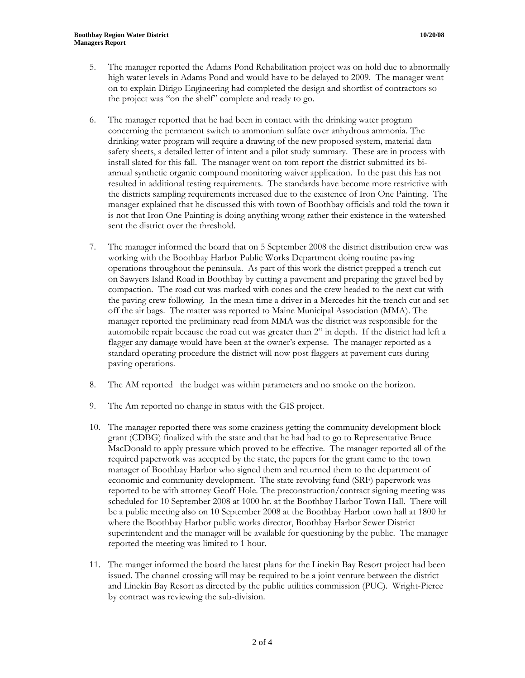- 5. The manager reported the Adams Pond Rehabilitation project was on hold due to abnormally high water levels in Adams Pond and would have to be delayed to 2009. The manager went on to explain Dirigo Engineering had completed the design and shortlist of contractors so the project was "on the shelf" complete and ready to go.
- 6. The manager reported that he had been in contact with the drinking water program concerning the permanent switch to ammonium sulfate over anhydrous ammonia. The drinking water program will require a drawing of the new proposed system, material data safety sheets, a detailed letter of intent and a pilot study summary. These are in process with install slated for this fall. The manager went on tom report the district submitted its biannual synthetic organic compound monitoring waiver application. In the past this has not resulted in additional testing requirements. The standards have become more restrictive with the districts sampling requirements increased due to the existence of Iron One Painting. The manager explained that he discussed this with town of Boothbay officials and told the town it is not that Iron One Painting is doing anything wrong rather their existence in the watershed sent the district over the threshold.
- 7. The manager informed the board that on 5 September 2008 the district distribution crew was working with the Boothbay Harbor Public Works Department doing routine paving operations throughout the peninsula. As part of this work the district prepped a trench cut on Sawyers Island Road in Boothbay by cutting a pavement and preparing the gravel bed by compaction. The road cut was marked with cones and the crew headed to the next cut with the paving crew following. In the mean time a driver in a Mercedes hit the trench cut and set off the air bags. The matter was reported to Maine Municipal Association (MMA). The manager reported the preliminary read from MMA was the district was responsible for the automobile repair because the road cut was greater than 2" in depth. If the district had left a flagger any damage would have been at the owner's expense. The manager reported as a standard operating procedure the district will now post flaggers at pavement cuts during paving operations.
- 8. The AM reported the budget was within parameters and no smoke on the horizon.
- 9. The Am reported no change in status with the GIS project.
- 10. The manager reported there was some craziness getting the community development block grant (CDBG) finalized with the state and that he had had to go to Representative Bruce MacDonald to apply pressure which proved to be effective. The manager reported all of the required paperwork was accepted by the state, the papers for the grant came to the town manager of Boothbay Harbor who signed them and returned them to the department of economic and community development. The state revolving fund (SRF) paperwork was reported to be with attorney Geoff Hole. The preconstruction/contract signing meeting was scheduled for 10 September 2008 at 1000 hr. at the Boothbay Harbor Town Hall. There will be a public meeting also on 10 September 2008 at the Boothbay Harbor town hall at 1800 hr where the Boothbay Harbor public works director, Boothbay Harbor Sewer District superintendent and the manager will be available for questioning by the public. The manager reported the meeting was limited to 1 hour.
- 11. The manger informed the board the latest plans for the Linekin Bay Resort project had been issued. The channel crossing will may be required to be a joint venture between the district and Linekin Bay Resort as directed by the public utilities commission (PUC). Wright-Pierce by contract was reviewing the sub-division.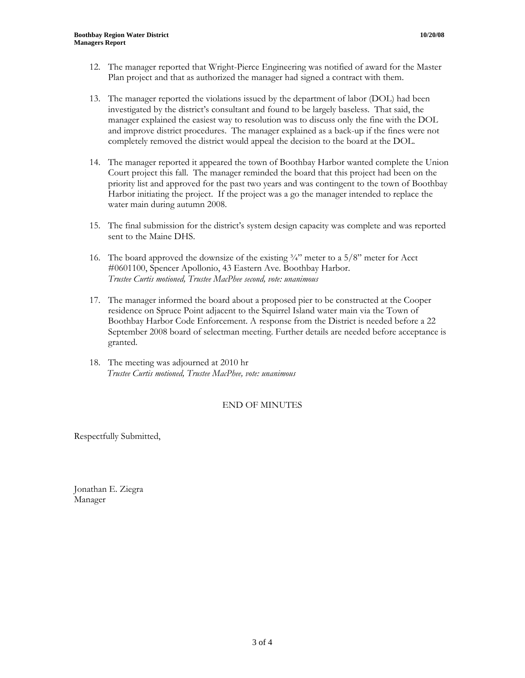- 12. The manager reported that Wright-Pierce Engineering was notified of award for the Master Plan project and that as authorized the manager had signed a contract with them.
- 13. The manager reported the violations issued by the department of labor (DOL) had been investigated by the district's consultant and found to be largely baseless. That said, the manager explained the easiest way to resolution was to discuss only the fine with the DOL and improve district procedures. The manager explained as a back-up if the fines were not completely removed the district would appeal the decision to the board at the DOL.
- 14. The manager reported it appeared the town of Boothbay Harbor wanted complete the Union Court project this fall. The manager reminded the board that this project had been on the priority list and approved for the past two years and was contingent to the town of Boothbay Harbor initiating the project. If the project was a go the manager intended to replace the water main during autumn 2008.
- 15. The final submission for the district's system design capacity was complete and was reported sent to the Maine DHS.
- 16. The board approved the downsize of the existing  $\frac{3}{4}$ " meter to a 5/8" meter for Acct #0601100, Spencer Apollonio, 43 Eastern Ave. Boothbay Harbor. *Trustee Curtis motioned, Trustee MacPhee second, vote: unanimous*
- 17. The manager informed the board about a proposed pier to be constructed at the Cooper residence on Spruce Point adjacent to the Squirrel Island water main via the Town of Boothbay Harbor Code Enforcement. A response from the District is needed before a 22 September 2008 board of selectman meeting. Further details are needed before acceptance is granted.
- 18. The meeting was adjourned at 2010 hr  *Trustee Curtis motioned, Trustee MacPhee, vote: unanimous*

## END OF MINUTES

Respectfully Submitted,

Jonathan E. Ziegra Manager